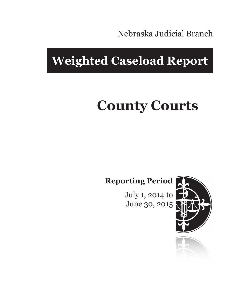Nebraska Judicial Branch

## **Weighted Caseload Report**

# **County Courts**

**Reporting Period**

July 1, 2014 to June 30, 2015



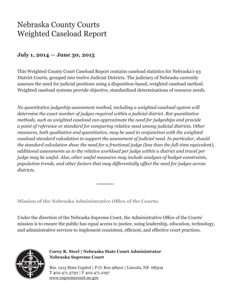### Nebraska County Courts Weighted Caseload Report

#### **July 1, 2014 — June 30, 2015**

This Weighted County Court Caseload Report contains caseload statistics for Nebraska's 93 District Courts, grouped into twelve Judicial Districts. The judiciary of Nebraska currently assesses the need for judicial positions using a disposition-based, weighted caseload method. Weighted caseload systems provide objective, standardized determinations of resource needs.

*No quantitative judgeship assessment method, including a weighted caseload system will determine the exact number of judges required within a judicial district. But quantitative methods, such as weighted caseload can approximate the need for judgeships and provide a point of reference or standard for comparing relative need among judicial districts. Other measures, both qualitative and quantitative, may be used in conjunction with the weighted caseload standard calculation to support the assessment of judicial need. In particular, should the standard calculation show the need for a fractional judge (less than the full-time equivalent), additional assessments as to the relative workload per judge within a district and travel per judge may be useful. Also, other useful measures may include analyses of budget constraints, population trends, and other factors that may differentially affect the need for judges across districts.*

**Mission of the Nebraska Administrative Office of the Courts:**

Under the direction of the Nebraska Supreme Court, the Administrative Office of the Courts' mission is to ensure the public has equal access to justice, using leadership, education, technology, and administrative services to implement consistent, efficient, and effective court practices.



**Corey R. Steel | Nebraska State Court Administrator Nebraska Supreme Court**

Rm. 1213 State Capitol | P.O. Box 98910 | Lincoln, NE 68509 T 402.471.3730 | F 402.471.2197 www.supremecourt.ne.gov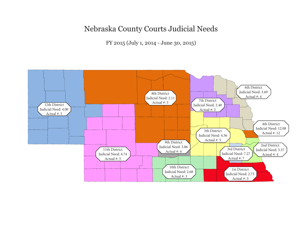#### Nebraska County Courts Judicial Needs

FY 2015 (July 1, 2014 - June 30, 2015)

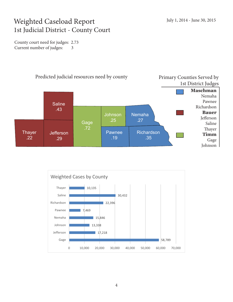#### Weighted Caseload Report 1st Judicial District - County Court

County court need for judges: 2.73 Current number of judges: 3



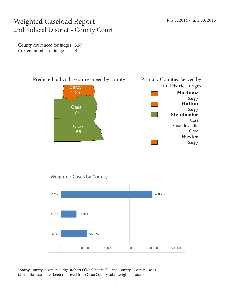#### Weighted Caseload Report 2nd Judicial District - County Court

County court need for judges: 3.57 Current number of judges: 4





\*Sarpy County Juvenile Judge Robert O'Neal hears all Otoe County Juvenile Cases (Juvenile cases have been removed from Otoe County total weighted cases)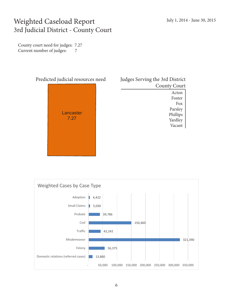#### Weighted Caseload Report 3rd Judicial District - County Court

County court need for judges: 7.27 Current number of judges: 7



| Judges Serving the 3rd District |  |  |  |  |  |
|---------------------------------|--|--|--|--|--|
| <b>County Court</b>             |  |  |  |  |  |
| Acton                           |  |  |  |  |  |
| Foster                          |  |  |  |  |  |
| Fox                             |  |  |  |  |  |
| Parsley                         |  |  |  |  |  |
| Phillips                        |  |  |  |  |  |
| Yardley                         |  |  |  |  |  |
| Vacant                          |  |  |  |  |  |
|                                 |  |  |  |  |  |

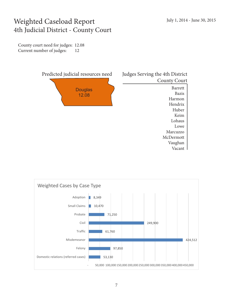#### Weighted Caseload Report 4th Judicial District - County Court

County court need for judges: 12.08 Current number of judges: 12



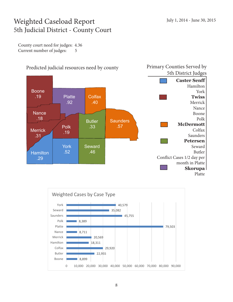#### Weighted Caseload Report 5th Judicial District - County Court

County court need for judges: 4.36 Current number of judges: 5



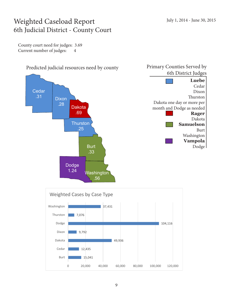#### Weighted Caseload Report 6th Judicial District - County Court

County court need for judges: 3.69 Current number of judges: 4



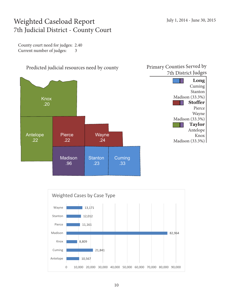#### Weighted Caseload Report 7th Judicial District - County Court

County court need for judges: 2.40 Current number of judges: 3



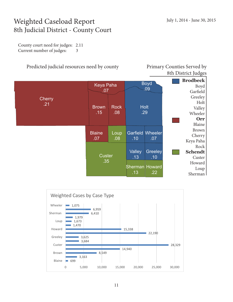#### Weighted Caseload Report 8th Judicial District - County Court

County court need for judges: 2.11 Current number of judges: 3



8th District Judges

|                      | Keya Paha<br>.07     |                    | <b>Boyd</b><br>.09                     |                       | <b>Brodbeck</b><br>Boyd<br>Garfield                           |
|----------------------|----------------------|--------------------|----------------------------------------|-----------------------|---------------------------------------------------------------|
| <b>Cherry</b><br>.21 | <b>Brown</b><br>.15  | <b>Rock</b><br>.08 | .29                                    | <b>Holt</b>           | Greeley<br>Holt<br>Valley<br>Wheeler<br>Orr<br>Blaine         |
|                      | <b>Blaine</b><br>.07 | Loup<br>.08        | Garfield<br>.10                        | Wheeler<br>.07        | <b>Brown</b><br>Cherry<br>Keya Paha                           |
|                      | Custer<br>.35        |                    | Valley<br>.13<br>Sherman Howard<br>.13 | Greeley<br>.10<br>.22 | Rock<br><b>Schendt</b><br>Custer<br>Howard<br>Loup<br>Sherman |

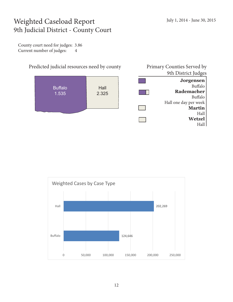#### Weighted Caseload Report 9th Judicial District - County Court

County court need for judges: 3.86 Current number of judges: 4



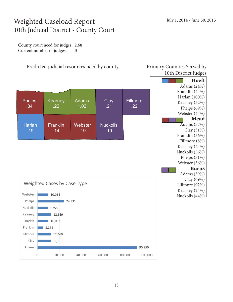#### Weighted Caseload Report 10th Judicial District - County Court

County court need for judges: 2.68 Current number of judges: 3

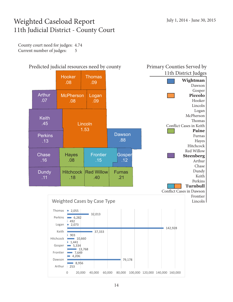#### Weighted Caseload Report 11th Judicial District - County Court

County court need for judges: 4.74 Current number of judges: 5